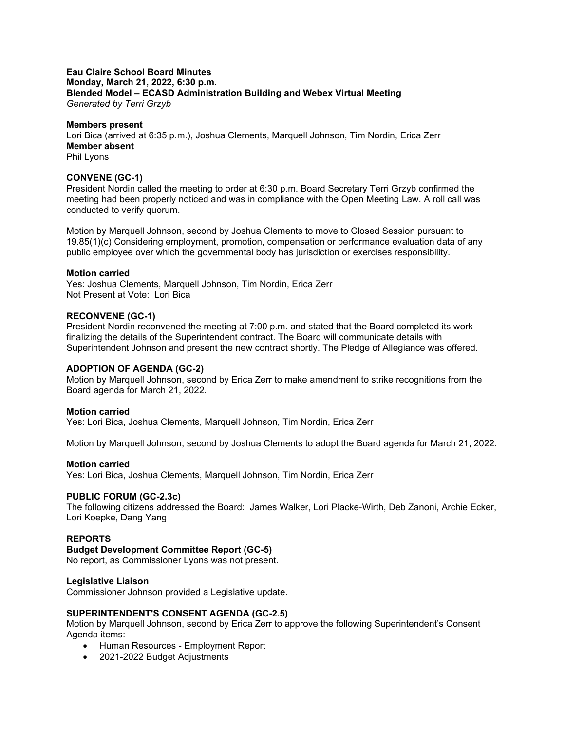### **Eau Claire School Board Minutes Monday, March 21, 2022, 6:30 p.m. Blended Model – ECASD Administration Building and Webex Virtual Meeting** *Generated by Terri Grzyb*

### **Members present**

Lori Bica (arrived at 6:35 p.m.), Joshua Clements, Marquell Johnson, Tim Nordin, Erica Zerr **Member absent** Phil Lyons

### **CONVENE (GC-1)**

President Nordin called the meeting to order at 6:30 p.m. Board Secretary Terri Grzyb confirmed the meeting had been properly noticed and was in compliance with the Open Meeting Law. A roll call was conducted to verify quorum.

Motion by Marquell Johnson, second by Joshua Clements to move to Closed Session pursuant to 19.85(1)(c) Considering employment, promotion, compensation or performance evaluation data of any public employee over which the governmental body has jurisdiction or exercises responsibility.

### **Motion carried**

Yes: Joshua Clements, Marquell Johnson, Tim Nordin, Erica Zerr Not Present at Vote: Lori Bica

### **RECONVENE (GC-1)**

President Nordin reconvened the meeting at 7:00 p.m. and stated that the Board completed its work finalizing the details of the Superintendent contract. The Board will communicate details with Superintendent Johnson and present the new contract shortly. The Pledge of Allegiance was offered.

#### **ADOPTION OF AGENDA (GC-2)**

Motion by Marquell Johnson, second by Erica Zerr to make amendment to strike recognitions from the Board agenda for March 21, 2022.

# **Motion carried**

Yes: Lori Bica, Joshua Clements, Marquell Johnson, Tim Nordin, Erica Zerr

Motion by Marquell Johnson, second by Joshua Clements to adopt the Board agenda for March 21, 2022.

#### **Motion carried**

Yes: Lori Bica, Joshua Clements, Marquell Johnson, Tim Nordin, Erica Zerr

#### **PUBLIC FORUM (GC-2.3c)**

The following citizens addressed the Board: James Walker, Lori Placke-Wirth, Deb Zanoni, Archie Ecker, Lori Koepke, Dang Yang

# **REPORTS**

# **Budget Development Committee Report (GC-5)**

No report, as Commissioner Lyons was not present.

#### **Legislative Liaison**

Commissioner Johnson provided a Legislative update.

# **SUPERINTENDENT'S CONSENT AGENDA (GC-2.5)**

Motion by Marquell Johnson, second by Erica Zerr to approve the following Superintendent's Consent Agenda items:

- Human Resources Employment Report
- 2021-2022 Budget Adjustments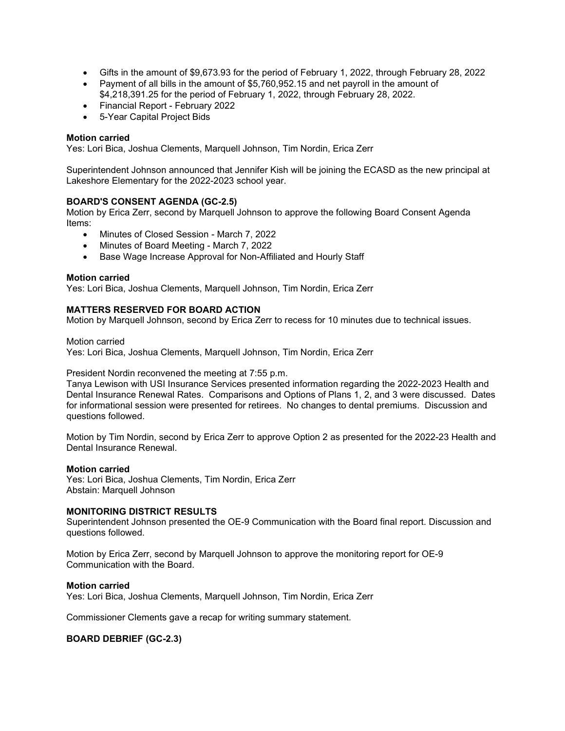- Gifts in the amount of \$9,673.93 for the period of February 1, 2022, through February 28, 2022
- Payment of all bills in the amount of \$5,760,952.15 and net payroll in the amount of \$4,218,391.25 for the period of February 1, 2022, through February 28, 2022.
- Financial Report February 2022
- 5-Year Capital Project Bids

# **Motion carried**

Yes: Lori Bica, Joshua Clements, Marquell Johnson, Tim Nordin, Erica Zerr

Superintendent Johnson announced that Jennifer Kish will be joining the ECASD as the new principal at Lakeshore Elementary for the 2022-2023 school year.

# **BOARD'S CONSENT AGENDA (GC-2.5)**

Motion by Erica Zerr, second by Marquell Johnson to approve the following Board Consent Agenda Items:

- Minutes of Closed Session March 7, 2022
- Minutes of Board Meeting March 7, 2022
- Base Wage Increase Approval for Non-Affiliated and Hourly Staff

#### **Motion carried**

Yes: Lori Bica, Joshua Clements, Marquell Johnson, Tim Nordin, Erica Zerr

# **MATTERS RESERVED FOR BOARD ACTION**

Motion by Marquell Johnson, second by Erica Zerr to recess for 10 minutes due to technical issues.

Motion carried

Yes: Lori Bica, Joshua Clements, Marquell Johnson, Tim Nordin, Erica Zerr

President Nordin reconvened the meeting at 7:55 p.m.

Tanya Lewison with USI Insurance Services presented information regarding the 2022-2023 Health and Dental Insurance Renewal Rates. Comparisons and Options of Plans 1, 2, and 3 were discussed. Dates for informational session were presented for retirees. No changes to dental premiums. Discussion and questions followed.

Motion by Tim Nordin, second by Erica Zerr to approve Option 2 as presented for the 2022-23 Health and Dental Insurance Renewal.

#### **Motion carried**

Yes: Lori Bica, Joshua Clements, Tim Nordin, Erica Zerr Abstain: Marquell Johnson

#### **MONITORING DISTRICT RESULTS**

Superintendent Johnson presented the OE-9 Communication with the Board final report. Discussion and questions followed.

Motion by Erica Zerr, second by Marquell Johnson to approve the monitoring report for OE-9 Communication with the Board.

#### **Motion carried**

Yes: Lori Bica, Joshua Clements, Marquell Johnson, Tim Nordin, Erica Zerr

Commissioner Clements gave a recap for writing summary statement.

# **BOARD DEBRIEF (GC-2.3)**